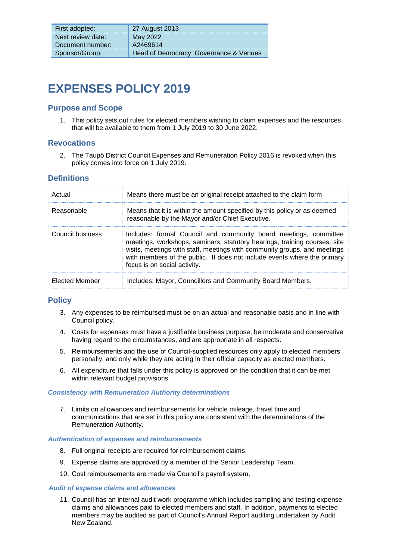| First adopted:    | 27 August 2013                         |
|-------------------|----------------------------------------|
| Next review date: | May 2022                               |
| Document number:  | A2469614                               |
| Sponsor/Group:    | Head of Democracy, Governance & Venues |

# **EXPENSES POLICY 2019**

## **Purpose and Scope**

1. This policy sets out rules for elected members wishing to claim expenses and the resources that will be available to them from 1 July 2019 to 30 June 2022.

## **Revocations**

2. The Taupö District Council Expenses and Remuneration Policy 2016 is revoked when this policy comes into force on 1 July 2019.

## **Definitions**

| Actual           | Means there must be an original receipt attached to the claim form                                                                                                                                                                                                                                                                     |
|------------------|----------------------------------------------------------------------------------------------------------------------------------------------------------------------------------------------------------------------------------------------------------------------------------------------------------------------------------------|
| Reasonable       | Means that it is within the amount specified by this policy or as deemed<br>reasonable by the Mayor and/or Chief Executive.                                                                                                                                                                                                            |
| Council business | Includes: formal Council and community board meetings, committee<br>meetings, workshops, seminars, statutory hearings, training courses, site<br>visits, meetings with staff, meetings with community groups, and meetings<br>with members of the public. It does not include events where the primary<br>focus is on social activity. |
| Elected Member   | Includes: Mayor, Councillors and Community Board Members.                                                                                                                                                                                                                                                                              |

## **Policy**

- 3. Any expenses to be reimbursed must be on an actual and reasonable basis and in line with Council policy.
- 4. Costs for expenses must have a justifiable business purpose, be moderate and conservative having regard to the circumstances, and are appropriate in all respects.
- 5. Reimbursements and the use of Council-supplied resources only apply to elected members personally, and only while they are acting in their official capacity as elected members.
- 6. All expenditure that falls under this policy is approved on the condition that it can be met within relevant budget provisions.

#### *Consistency with Remuneration Authority determinations*

7. Limits on allowances and reimbursements for vehicle mileage, travel time and communications that are set in this policy are consistent with the determinations of the Remuneration Authority.

#### *Authentication of expenses and reimbursements*

- 8. Full original receipts are required for reimbursement claims.
- 9. Expense claims are approved by a member of the Senior Leadership Team.
- 10. Cost reimbursements are made via Council's payroll system.

#### *Audit of expense claims and allowances*

11. Council has an internal audit work programme which includes sampling and testing expense claims and allowances paid to elected members and staff. In addition, payments to elected members may be audited as part of Council's Annual Report auditing undertaken by Audit New Zealand.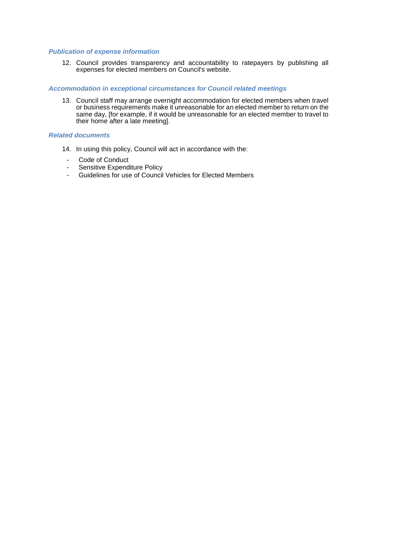### *Publication of expense information*

12. Council provides transparency and accountability to ratepayers by publishing all expenses for elected members on Council's website.

#### *Accommodation in exceptional circumstances for Council related meetings*

13. Council staff may arrange overnight accommodation for elected members when travel or business requirements make it unreasonable for an elected member to return on the same day, [for example, if it would be unreasonable for an elected member to travel to their home after a late meeting].

#### *Related documents*

- 14. In using this policy, Council will act in accordance with the:
	- Code of Conduct
	- Sensitive Expenditure Policy
	- Guidelines for use of Council Vehicles for Elected Members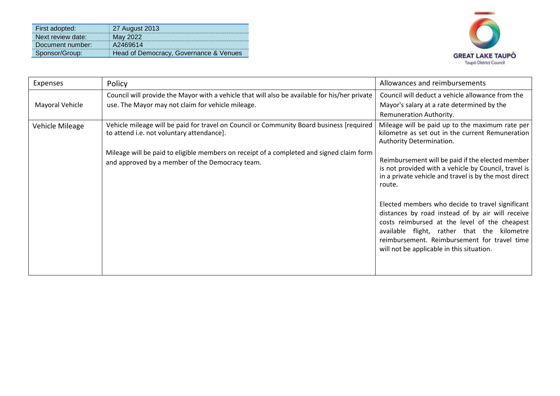| First adopted:    | 27 August 2013                         |
|-------------------|----------------------------------------|
| Next review date: |                                        |
| Document number:  | A2469614                               |
| Sponsor/Group:    | Head of Democracy, Governance & Venues |



| Expenses        | Policy                                                                                                                                             | Allowances and reimbursements                                                                                                                                                                                                                                                                     |
|-----------------|----------------------------------------------------------------------------------------------------------------------------------------------------|---------------------------------------------------------------------------------------------------------------------------------------------------------------------------------------------------------------------------------------------------------------------------------------------------|
| Mayoral Vehicle | Council will provide the Mayor with a vehicle that will also be available for his/her private<br>use. The Mayor may not claim for vehicle mileage. | Council will deduct a vehicle allowance from the<br>Mayor's salary at a rate determined by the<br>Remuneration Authority.                                                                                                                                                                         |
| Vehicle Mileage | Vehicle mileage will be paid for travel on Council or Community Board business [required<br>to attend i.e. not voluntary attendance].              | Mileage will be paid up to the maximum rate per<br>kilometre as set out in the current Remuneration<br>Authority Determination.                                                                                                                                                                   |
|                 | Mileage will be paid to eligible members on receipt of a completed and signed claim form<br>and approved by a member of the Democracy team.        | Reimbursement will be paid if the elected member<br>is not provided with a vehicle by Council, travel is<br>in a private vehicle and travel is by the most direct<br>route.                                                                                                                       |
|                 |                                                                                                                                                    | Elected members who decide to travel significant<br>distances by road instead of by air will receive<br>costs reimbursed at the level of the cheapest<br>available flight, rather that the kilometre<br>reimbursement. Reimbursement for travel time<br>will not be applicable in this situation. |
|                 |                                                                                                                                                    |                                                                                                                                                                                                                                                                                                   |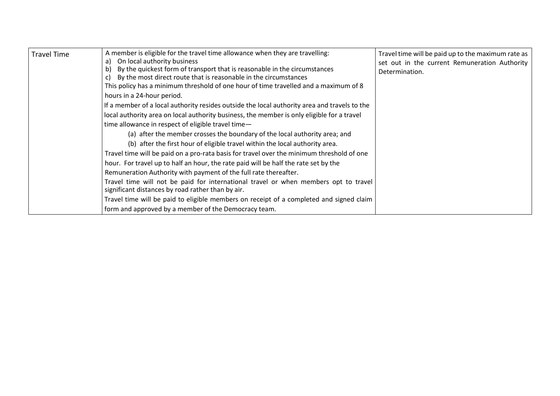| A member is eligible for the travel time allowance when they are travelling:<br><b>Travel Time</b><br>a) On local authority business<br>By the quickest form of transport that is reasonable in the circumstances<br>b)<br>By the most direct route that is reasonable in the circumstances<br>This policy has a minimum threshold of one hour of time travelled and a maximum of 8<br>hours in a 24-hour period.<br>If a member of a local authority resides outside the local authority area and travels to the<br>local authority area on local authority business, the member is only eligible for a travel<br>time allowance in respect of eligible travel time-<br>(a) after the member crosses the boundary of the local authority area; and<br>(b) after the first hour of eligible travel within the local authority area.<br>Travel time will be paid on a pro-rata basis for travel over the minimum threshold of one<br>hour. For travel up to half an hour, the rate paid will be half the rate set by the<br>Remuneration Authority with payment of the full rate thereafter.<br>Travel time will not be paid for international travel or when members opt to travel<br>significant distances by road rather than by air.<br>Travel time will be paid to eligible members on receipt of a completed and signed claim<br>form and approved by a member of the Democracy team. | Travel time will be paid up to the maximum rate as<br>set out in the current Remuneration Authority<br>Determination. |
|--------------------------------------------------------------------------------------------------------------------------------------------------------------------------------------------------------------------------------------------------------------------------------------------------------------------------------------------------------------------------------------------------------------------------------------------------------------------------------------------------------------------------------------------------------------------------------------------------------------------------------------------------------------------------------------------------------------------------------------------------------------------------------------------------------------------------------------------------------------------------------------------------------------------------------------------------------------------------------------------------------------------------------------------------------------------------------------------------------------------------------------------------------------------------------------------------------------------------------------------------------------------------------------------------------------------------------------------------------------------------------------------|-----------------------------------------------------------------------------------------------------------------------|
|--------------------------------------------------------------------------------------------------------------------------------------------------------------------------------------------------------------------------------------------------------------------------------------------------------------------------------------------------------------------------------------------------------------------------------------------------------------------------------------------------------------------------------------------------------------------------------------------------------------------------------------------------------------------------------------------------------------------------------------------------------------------------------------------------------------------------------------------------------------------------------------------------------------------------------------------------------------------------------------------------------------------------------------------------------------------------------------------------------------------------------------------------------------------------------------------------------------------------------------------------------------------------------------------------------------------------------------------------------------------------------------------|-----------------------------------------------------------------------------------------------------------------------|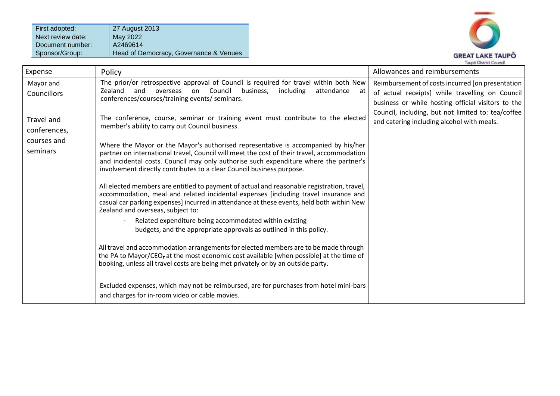| First adopted:    | 27 August 2013                         |
|-------------------|----------------------------------------|
| Next review date: | May 2022                               |
| Document number:  | A2469614                               |
| Sponsor/Group:    | Head of Democracy, Governance & Venues |



| Expense                    | Policy                                                                                                                                                                                                                                                                                                                                             | Allowances and reimbursements                                                                                                                                                                                   |
|----------------------------|----------------------------------------------------------------------------------------------------------------------------------------------------------------------------------------------------------------------------------------------------------------------------------------------------------------------------------------------------|-----------------------------------------------------------------------------------------------------------------------------------------------------------------------------------------------------------------|
| Mayor and<br>Councillors   | The prior/or retrospective approval of Council is required for travel within both New<br>Zealand<br>Council<br>business,<br>including<br>and<br>attendance<br>overseas<br>on<br>- at<br>conferences/courses/training events/ seminars.                                                                                                             | Reimbursement of costs incurred [on presentation<br>of actual receipts] while travelling on Council<br>business or while hosting official visitors to the<br>Council, including, but not limited to: tea/coffee |
| Travel and<br>conferences, | The conference, course, seminar or training event must contribute to the elected<br>member's ability to carry out Council business.                                                                                                                                                                                                                | and catering including alcohol with meals.                                                                                                                                                                      |
| courses and<br>seminars    | Where the Mayor or the Mayor's authorised representative is accompanied by his/her<br>partner on international travel, Council will meet the cost of their travel, accommodation<br>and incidental costs. Council may only authorise such expenditure where the partner's<br>involvement directly contributes to a clear Council business purpose. |                                                                                                                                                                                                                 |
|                            | All elected members are entitled to payment of actual and reasonable registration, travel,<br>accommodation, meal and related incidental expenses [including travel insurance and<br>casual car parking expenses] incurred in attendance at these events, held both within New<br>Zealand and overseas, subject to:                                |                                                                                                                                                                                                                 |
|                            | Related expenditure being accommodated within existing<br>budgets, and the appropriate approvals as outlined in this policy.                                                                                                                                                                                                                       |                                                                                                                                                                                                                 |
|                            | All travel and accommodation arrangements for elected members are to be made through<br>the PA to Mayor/CEO <sub>7</sub> at the most economic cost available [when possible] at the time of<br>booking, unless all travel costs are being met privately or by an outside party.                                                                    |                                                                                                                                                                                                                 |
|                            | Excluded expenses, which may not be reimbursed, are for purchases from hotel mini-bars<br>and charges for in-room video or cable movies.                                                                                                                                                                                                           |                                                                                                                                                                                                                 |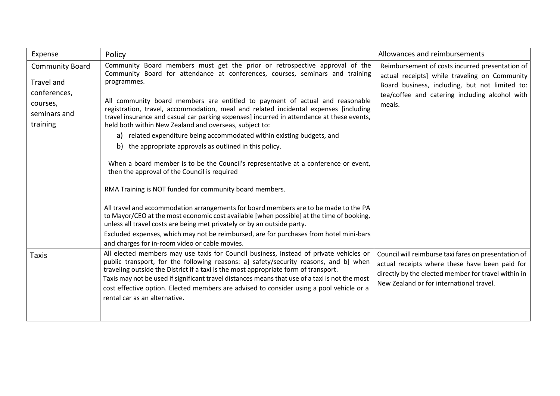| Expense                                                                                      | Policy                                                                                                                                                                                                                                                                                                                                                                                                                                                                                                                                                                                                                                                                                                                                                                                                                                                                                                                                                                                                                                 | Allowances and reimbursements                                                                                                                                                                                  |
|----------------------------------------------------------------------------------------------|----------------------------------------------------------------------------------------------------------------------------------------------------------------------------------------------------------------------------------------------------------------------------------------------------------------------------------------------------------------------------------------------------------------------------------------------------------------------------------------------------------------------------------------------------------------------------------------------------------------------------------------------------------------------------------------------------------------------------------------------------------------------------------------------------------------------------------------------------------------------------------------------------------------------------------------------------------------------------------------------------------------------------------------|----------------------------------------------------------------------------------------------------------------------------------------------------------------------------------------------------------------|
| <b>Community Board</b><br>Travel and<br>conferences,<br>courses,<br>seminars and<br>training | Community Board members must get the prior or retrospective approval of the<br>Community Board for attendance at conferences, courses, seminars and training<br>programmes.<br>All community board members are entitled to payment of actual and reasonable<br>registration, travel, accommodation, meal and related incidental expenses [including<br>travel insurance and casual car parking expenses] incurred in attendance at these events,<br>held both within New Zealand and overseas, subject to:<br>a) related expenditure being accommodated within existing budgets, and<br>b) the appropriate approvals as outlined in this policy.<br>When a board member is to be the Council's representative at a conference or event,<br>then the approval of the Council is required<br>RMA Training is NOT funded for community board members.<br>All travel and accommodation arrangements for board members are to be made to the PA<br>to Mayor/CEO at the most economic cost available [when possible] at the time of booking, | Reimbursement of costs incurred presentation of<br>actual receipts] while traveling on Community<br>Board business, including, but not limited to:<br>tea/coffee and catering including alcohol with<br>meals. |
|                                                                                              | unless all travel costs are being met privately or by an outside party.<br>Excluded expenses, which may not be reimbursed, are for purchases from hotel mini-bars<br>and charges for in-room video or cable movies.                                                                                                                                                                                                                                                                                                                                                                                                                                                                                                                                                                                                                                                                                                                                                                                                                    |                                                                                                                                                                                                                |
| <b>Taxis</b>                                                                                 | All elected members may use taxis for Council business, instead of private vehicles or<br>public transport, for the following reasons: a] safety/security reasons, and b] when<br>traveling outside the District if a taxi is the most appropriate form of transport.<br>Taxis may not be used if significant travel distances means that use of a taxi is not the most<br>cost effective option. Elected members are advised to consider using a pool vehicle or a<br>rental car as an alternative.                                                                                                                                                                                                                                                                                                                                                                                                                                                                                                                                   | Council will reimburse taxi fares on presentation of<br>actual receipts where these have been paid for<br>directly by the elected member for travel within in<br>New Zealand or for international travel.      |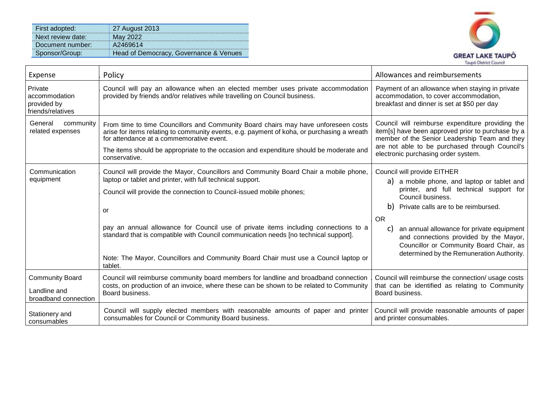| First adopted:    | 27 August 2013                         |
|-------------------|----------------------------------------|
| Next review date: | May 2022                               |
| Document number:  | A2469614                               |
| Sponsor/Group:    | Head of Democracy, Governance & Venues |



| Expense                                                        | Policy                                                                                                                                                                                                                                                                                                                                                                                                                                                                                                             | Allowances and reimbursements                                                                                                                                                                                                                                                                                                                                                          |
|----------------------------------------------------------------|--------------------------------------------------------------------------------------------------------------------------------------------------------------------------------------------------------------------------------------------------------------------------------------------------------------------------------------------------------------------------------------------------------------------------------------------------------------------------------------------------------------------|----------------------------------------------------------------------------------------------------------------------------------------------------------------------------------------------------------------------------------------------------------------------------------------------------------------------------------------------------------------------------------------|
| Private<br>accommodation<br>provided by<br>friends/relatives   | Council will pay an allowance when an elected member uses private accommodation<br>provided by friends and/or relatives while travelling on Council business.                                                                                                                                                                                                                                                                                                                                                      | Payment of an allowance when staying in private<br>accommodation, to cover accommodation,<br>breakfast and dinner is set at \$50 per day                                                                                                                                                                                                                                               |
| General<br>community<br>related expenses                       | From time to time Councillors and Community Board chairs may have unforeseen costs<br>arise for items relating to community events, e.g. payment of koha, or purchasing a wreath<br>for attendance at a commemorative event.                                                                                                                                                                                                                                                                                       | Council will reimburse expenditure providing the<br>item[s] have been approved prior to purchase by a<br>member of the Senior Leadership Team and they<br>are not able to be purchased through Council's                                                                                                                                                                               |
|                                                                | The items should be appropriate to the occasion and expenditure should be moderate and<br>conservative.                                                                                                                                                                                                                                                                                                                                                                                                            | electronic purchasing order system.                                                                                                                                                                                                                                                                                                                                                    |
| Communication<br>equipment                                     | Council will provide the Mayor, Councillors and Community Board Chair a mobile phone,<br>laptop or tablet and printer, with full technical support.<br>Council will provide the connection to Council-issued mobile phones;<br>or<br>pay an annual allowance for Council use of private items including connections to a<br>standard that is compatible with Council communication needs [no technical support].<br>Note: The Mayor, Councillors and Community Board Chair must use a Council laptop or<br>tablet. | Council will provide EITHER<br>a) a mobile phone, and laptop or tablet and<br>printer, and full technical support for<br>Council business.<br>b) Private calls are to be reimbursed.<br><b>OR</b><br>an annual allowance for private equipment<br>C)<br>and connections provided by the Mayor,<br>Councillor or Community Board Chair, as<br>determined by the Remuneration Authority. |
| <b>Community Board</b><br>Landline and<br>broadband connection | Council will reimburse community board members for landline and broadband connection<br>costs, on production of an invoice, where these can be shown to be related to Community<br>Board business.                                                                                                                                                                                                                                                                                                                 | Council will reimburse the connection/ usage costs<br>that can be identified as relating to Community<br>Board business.                                                                                                                                                                                                                                                               |
| Stationery and<br>consumables                                  | Council will supply elected members with reasonable amounts of paper and printer<br>consumables for Council or Community Board business.                                                                                                                                                                                                                                                                                                                                                                           | Council will provide reasonable amounts of paper<br>and printer consumables.                                                                                                                                                                                                                                                                                                           |